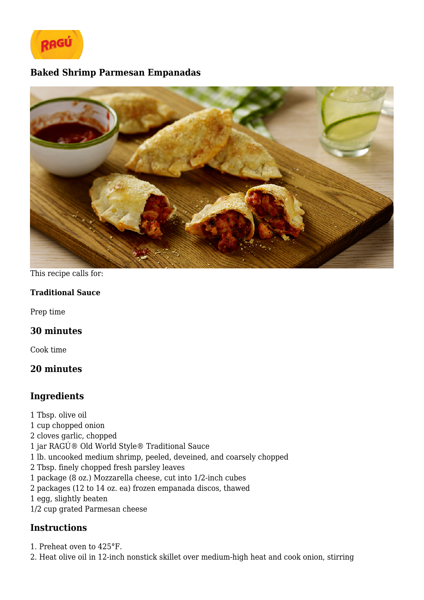

## **Baked Shrimp Parmesan Empanadas**



This recipe calls for:

#### **Traditional Sauce**

Prep time

### **30 minutes**

Cook time

# **20 minutes**

# **Ingredients**

1 Tbsp. olive oil 1 cup chopped onion 2 cloves garlic, chopped 1 jar RAGÚ® Old World Style® Traditional Sauce 1 lb. uncooked medium shrimp, peeled, deveined, and coarsely chopped 2 Tbsp. finely chopped fresh parsley leaves 1 package (8 oz.) Mozzarella cheese, cut into 1/2-inch cubes 2 packages (12 to 14 oz. ea) frozen empanada discos, thawed 1 egg, slightly beaten 1/2 cup grated Parmesan cheese

### **Instructions**

1. Preheat oven to 425°F.

2. Heat olive oil in 12-inch nonstick skillet over medium-high heat and cook onion, stirring